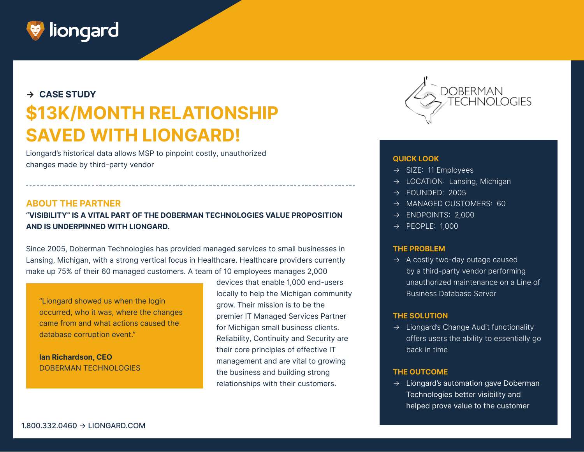

# **→ CASE STUDY \$13K/MONTH RELATIONSHIP SAVED WITH LIONGARD!**

Liongard's historical data allows MSP to pinpoint costly, unauthorized changes made by third-party vendor **CON** proportions of the proportional changes made by third-party vendor **QUICK LOOK** 

### **ABOUT THE PARTNER**

**"VISIBILITY" IS A VITAL PART OF THE DOBERMAN TECHNOLOGIES VALUE PROPOSITION AND IS UNDERPINNED WITH LIONGARD.** 

Since 2005, Doberman Technologies has provided managed services to small businesses in Lansing, Michigan, with a strong vertical focus in Healthcare. Healthcare providers currently make up 75% of their 60 managed customers. A team of 10 employees manages 2,000

"Liongard showed us when the login occurred, who it was, where the changes came from and what actions caused the database corruption event."

**Ian Richardson, CEO**  DOBERMAN TECHNOLOGIES

devices that enable 1,000 end-users locally to help the Michigan community grow. Their mission is to be the premier IT Managed Services Partner for Michigan small business clients. Reliability, Continuity and Security are their core principles of effective IT management and are vital to growing the business and building strong relationships with their customers.



- → SIZE: 11 Employees
- → LOCATION: Lansing, Michigan
- $\rightarrow$  FOUNDED: 2005
- $\rightarrow$  MANAGED CUSTOMERS: 60
- $\rightarrow$  ENDPOINTS: 2,000
- $\rightarrow$  PEOPLE: 1,000

#### **THE PROBLEM**

 $\rightarrow$  A costly two-day outage caused by a third-party vendor performing unauthorized maintenance on a Line of Business Database Server

#### **THE SOLUTION**

→ Liongard's Change Audit functionality offers users the ability to essentially go back in time

#### **THE OUTCOME**

 $\rightarrow$  Liongard's automation gave Doberman Technologies better visibility and helped prove value to the customer